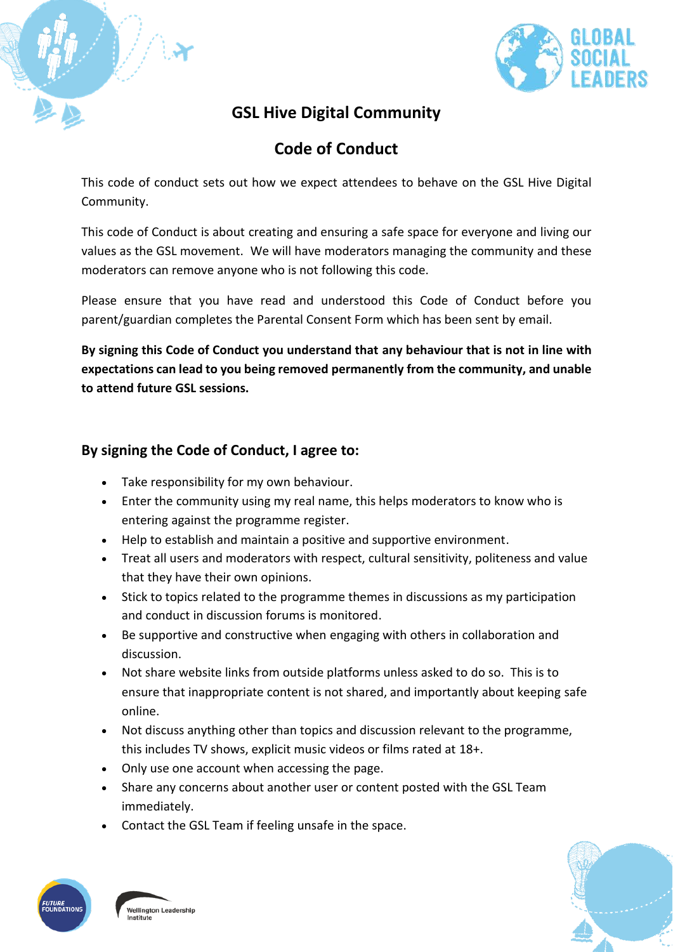

# **GSL Hive Digital Community**

# **Code of Conduct**

This code of conduct sets out how we expect attendees to behave on the GSL Hive Digital Community.

This code of Conduct is about creating and ensuring a safe space for everyone and living our values as the GSL movement. We will have moderators managing the community and these moderators can remove anyone who is not following this code.

Please ensure that you have read and understood this Code of Conduct before you parent/guardian completes the Parental Consent Form which has been sent by email.

**By signing this Code of Conduct you understand that any behaviour that is not in line with expectations can lead to you being removed permanently from the community, and unable to attend future GSL sessions.**

### **By signing the Code of Conduct, I agree to:**

- Take responsibility for my own behaviour.
- Enter the community using my real name, this helps moderators to know who is entering against the programme register.
- Help to establish and maintain a positive and supportive environment.
- Treat all users and moderators with respect, cultural sensitivity, politeness and value that they have their own opinions.
- Stick to topics related to the programme themes in discussions as my participation and conduct in discussion forums is monitored.
- Be supportive and constructive when engaging with others in collaboration and discussion.
- Not share website links from outside platforms unless asked to do so. This is to ensure that inappropriate content is not shared, and importantly about keeping safe online.
- Not discuss anything other than topics and discussion relevant to the programme, this includes TV shows, explicit music videos or films rated at 18+.
- Only use one account when accessing the page.
- Share any concerns about another user or content posted with the GSL Team immediately.
- Contact the GSL Team if feeling unsafe in the space.



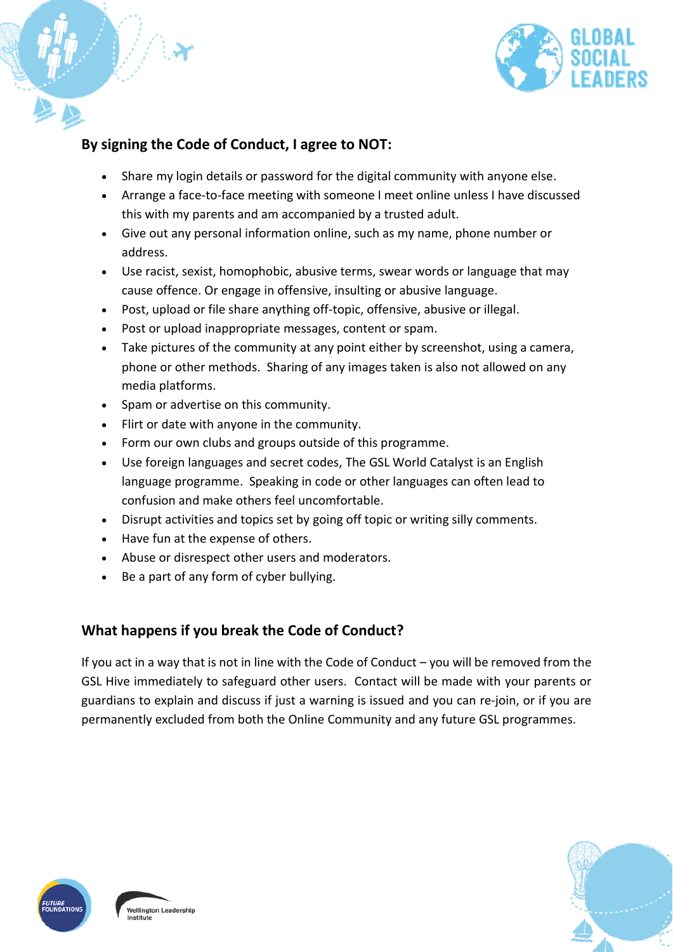

### **By signing the Code of Conduct, I agree to NOT:**

- Share my login details or password for the digital community with anyone else.
- Arrange a face-to-face meeting with someone I meet online unless I have discussed this with my parents and am accompanied by a trusted adult.
- Give out any personal information online, such as my name, phone number or address.
- Use racist, sexist, homophobic, abusive terms, swear words or language that may cause offence. Or engage in offensive, insulting or abusive language.
- Post, upload or file share anything off-topic, offensive, abusive or illegal.
- Post or upload inappropriate messages, content or spam.
- Take pictures of the community at any point either by screenshot, using a camera, phone or other methods. Sharing of any images taken is also not allowed on any media platforms.
- Spam or advertise on this community.
- Flirt or date with anyone in the community.
- Form our own clubs and groups outside of this programme.
- Use foreign languages and secret codes, The GSL World Catalyst is an English language programme. Speaking in code or other languages can often lead to confusion and make others feel uncomfortable.
- Disrupt activities and topics set by going off topic or writing silly comments.
- Have fun at the expense of others.
- Abuse or disrespect other users and moderators.
- Be a part of any form of cyber bullying.

### **What happens if you break the Code of Conduct?**

If you act in a way that is not in line with the Code of Conduct – you will be removed from the GSL Hive immediately to safeguard other users. Contact will be made with your parents or guardians to explain and discuss if just a warning is issued and you can re-join, or if you are permanently excluded from both the Online Community and any future GSL programmes.